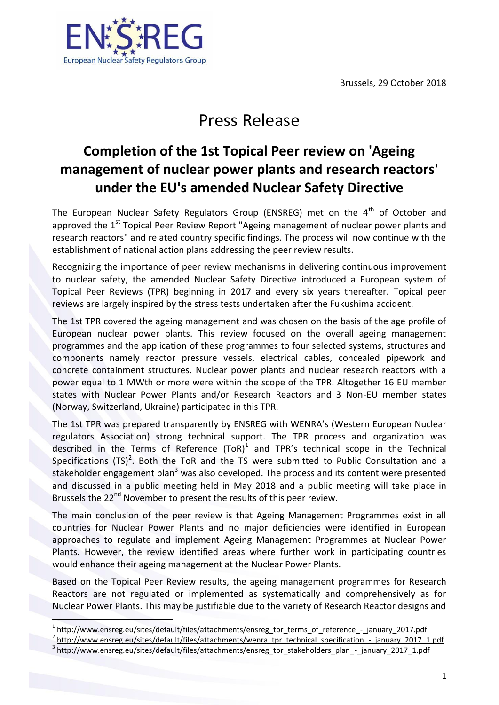Brussels, 29 October 2018



## Press Release

## **Completion of the 1st Topical Peer review on 'Ageing management of nuclear power plants and research reactors' under the EU's [amended Nuclear Safety Directive](http://europa.eu/rapid/press-release_IP-14-777_en.htm)**

The European Nuclear Safety Regulators Group (ENSREG) met on the  $4<sup>th</sup>$  of October and approved the  $1<sup>st</sup>$  Topical Peer Review Report "Ageing management of nuclear power plants and research reactors" and related country specific findings. The process will now continue with the establishment of national action plans addressing the peer review results.

Recognizing the importance of peer review mechanisms in delivering continuous improvement to nuclear safety, the amended Nuclear Safety Directive introduced a European system of Topical Peer Reviews (TPR) beginning in 2017 and every six years thereafter. Topical peer reviews are largely inspired by the stress tests undertaken after the Fukushima accident.

The 1st TPR covered the ageing management and was chosen on the basis of the age profile of European nuclear power plants. This review focused on the overall ageing management programmes and the application of these programmes to four selected systems, structures and components namely reactor pressure vessels, electrical cables, concealed pipework and concrete containment structures. Nuclear power plants and nuclear research reactors with a power equal to 1 MWth or more were within the scope of the TPR. Altogether 16 EU member states with Nuclear Power Plants and/or Research Reactors and 3 Non-EU member states (Norway, Switzerland, Ukraine) participated in this TPR.

The 1st TPR was prepared transparently by ENSREG with WENRA's (Western European Nuclear regulators Association) strong technical support. The TPR process and organization was described in the Terms of Reference  $(TOR)^1$  and TPR's technical scope in the Technical Specifications (TS)<sup>2</sup>. Both the ToR and the TS were submitted to Public Consultation and a stakeholder engagement plan<sup>3</sup> was also developed. The process and its content were presented and discussed in a public meeting held in May 2018 and a public meeting will take place in Brussels the 22<sup>nd</sup> November to present the results of this peer review.

The main conclusion of the peer review is that Ageing Management Programmes exist in all countries for Nuclear Power Plants and no major deficiencies were identified in European approaches to regulate and implement Ageing Management Programmes at Nuclear Power Plants. However, the review identified areas where further work in participating countries would enhance their ageing management at the Nuclear Power Plants.

Based on the Topical Peer Review results, the ageing management programmes for Research Reactors are not regulated or implemented as systematically and comprehensively as for Nuclear Power Plants. This may be justifiable due to the variety of Research Reactor designs and

 $\overline{a}$ 

<sup>1</sup> [http://www.ensreg.eu/sites/default/files/attachments/ensreg\\_tpr\\_terms\\_of\\_reference\\_-\\_january\\_2017.pdf](http://www.ensreg.eu/sites/default/files/attachments/ensreg_tpr_terms_of_reference_-_january_2017.pdf) 2 [http://www.ensreg.eu/sites/default/files/attachments/wenra\\_tpr\\_technical\\_specification\\_-\\_january\\_2017\\_1.pdf](http://www.ensreg.eu/sites/default/files/attachments/wenra_tpr_technical_specification_-_january_2017_1.pdf)

<sup>3</sup> [http://www.ensreg.eu/sites/default/files/attachments/ensreg\\_tpr\\_stakeholders\\_plan\\_-\\_january\\_2017\\_1.pdf](http://www.ensreg.eu/sites/default/files/attachments/ensreg_tpr_stakeholders_plan_-_january_2017_1.pdf)